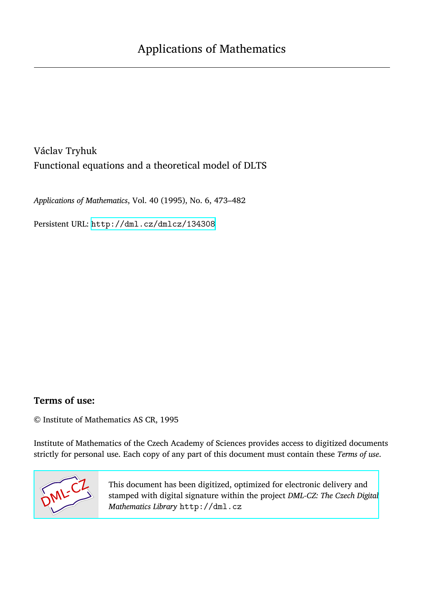Václav Tryhuk Functional equations and a theoretical model of DLTS

*Applications of Mathematics*, Vol. 40 (1995), No. 6, 473–482

Persistent URL: <http://dml.cz/dmlcz/134308>

## **Terms of use:**

© Institute of Mathematics AS CR, 1995

Institute of Mathematics of the Czech Academy of Sciences provides access to digitized documents strictly for personal use. Each copy of any part of this document must contain these *Terms of use*.



[This document has been digitized, optimized for electronic delivery and](http://dml.cz) stamped with digital signature within the project *DML-CZ: The Czech Digital Mathematics Library* http://dml.cz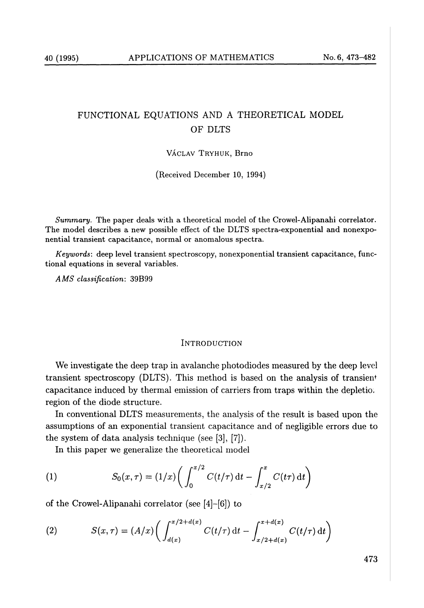# FUNCTIONAL EQUATIONS AND A THEORETICAL MODEL OF DLTS

VÁCLAV TRYHUK, Brno

(Received December 10, 1994)

*Summary.* The paper deals with a theoretical model of the Crowel-A**l**ipanahi correlator. The model describes a new possible effect of the DLTS spectra-exponential and nonexponential transient capacitance, normal or anomalous spectra.

*Keywords:* deep level transient spectroscopy, nonexponential transient capacitance, functional equations in several variables.

*A MS classification:* 39B99

#### INTRODUCTION

We investigate the deep trap in avalanche photodiodes measured by the deep level transient spectroscopy (DLTS). This method is based on the analysis of transient capacitance induced by thermal emission of carriers from traps within the depletio. region of the diode structure.

In conventional DLTS measurements, the analysis of the result is based upon the assumptions of an exponential transient capacitance and of negligible errors due to the system of data analysis technique (see [3], [7]).

In this paper we generalize the theoretical model

(1) 
$$
S_0(x,\tau) = (1/x) \left( \int_0^{x/2} C(t/\tau) dt - \int_{x/2}^x C(t\tau) dt \right)
$$

of the Crowel-Alipanahi correlator (see [4]-[6]) to

(2) 
$$
S(x,\tau) = (A/x) \bigg( \int_{d(x)}^{x/2 + d(x)} C(t/\tau) dt - \int_{x/2 + d(x)}^{x + d(x)} C(t/\tau) dt \bigg)
$$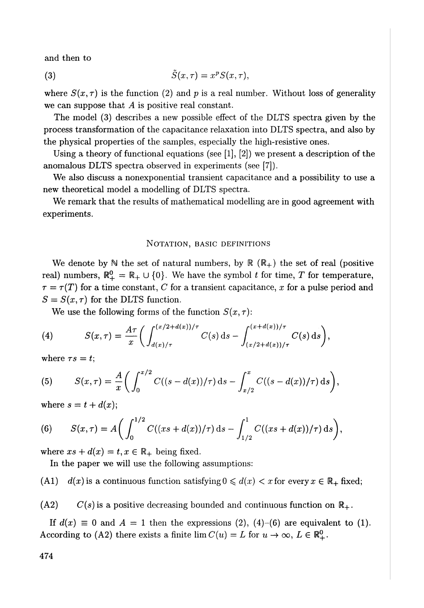and then to

$$
(3) \hspace{3.1em} \tilde{S}(x,\tau) = x^p S(x,\tau),
$$

where  $S(x, \tau)$  is the function (2) and p is a real number. Without loss of generality we can suppose that *A* is positive real constant.

The model (3) describes a new possible effect of the DLTS spectra given by the process transformation of the capacitance relaxation into DLTS spectra, and also by the physical properties of the samples, especially the high-resistive ones.

Using a theory of functional equations (see  $[1], [2]$ ) we present a description of the anomalous DLTS spectra observed in experiments (see [7]).

We also discuss a nonexponential transient capacitance and a possibility to use a new theoretical model a modelling of DLTS spectra.

We remark that the results of mathematical modelling are in good agreement with experiments.

### NOTATION, BASIC DEFINITIONS

We denote by  $\mathbb N$  the set of natural numbers, by  $\mathbb R$  ( $\mathbb R_+$ ) the set of real (positive real) numbers,  $\mathbb{R}_+^0 = \mathbb{R}_+ \cup \{0\}$ . We have the symbol t for time, T for temperature,  $\tau = \tau(T)$  for a time constant, C for a transient capacitance, x for a pulse period and  $S = S(x, \tau)$  for the DLTS function.

We use the following forms of the function  $S(x, \tau)$ :

(4) 
$$
S(x,\tau) = \frac{A\tau}{x} \bigg( \int_{d(x)/\tau}^{(x/2+d(x))/\tau} C(s) \, ds - \int_{(x/2+d(x))/\tau}^{(x+d(x))/\tau} C(s) \, ds \bigg),
$$

where  $\tau s = t$ ;

(5) 
$$
S(x,\tau) = \frac{A}{x} \bigg( \int_0^{x/2} C((s-d(x))/\tau) \, ds - \int_{x/2}^x C((s-d(x))/\tau) \, ds \bigg),
$$

where  $s = t + d(x)$ ;

(6) 
$$
S(x,\tau) = A\bigg(\int_0^{1/2} C((xs+d(x))/\tau) \,ds - \int_{1/2}^1 C((xs+d(x))/\tau) \,ds\bigg),
$$

where  $xs + d(x) = t, x \in \mathbb{R}_+$  being fixed.

In the paper we will use the following assumptions:

(A1)  $d(x)$  is a continuous function satisfying  $0 \leq d(x) < x$  for every  $x \in \mathbb{R}_+$  fixed;

 $(A2)$   $C(s)$  is a positive decreasing bounded and continuous function on  $\mathbb{R}_+$ .

If  $d(x) \equiv 0$  and  $A = 1$  then the expressions (2), (4)-(6) are equivalent to (1). According to (A2) there exists a finite  $\lim C(u) = L$  for  $u \to \infty$ ,  $L \in \mathbb{R}^0_+$ .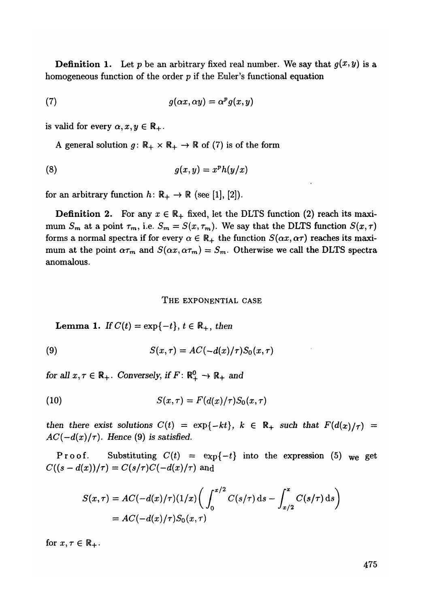**Definition 1.** Let p be an arbitrary fixed real number. We say that  $g(x, y)$  is a homogeneous function of the order *p* if the Euler's functional equation

(7) 
$$
g(\alpha x, \alpha y) = \alpha^p g(x, y)
$$

is valid for every  $\alpha, x, y \in \mathbb{R}_+$ .

A general solution  $g: \mathbb{R}_+ \times \mathbb{R}_+ \to \mathbb{R}$  of (7) is of the form

$$
(8) \t\t g(x,y) = x^p h(y/x)
$$

for an arbitrary function  $h: \mathbb{R}_+ \to \mathbb{R}$  (see [1], [2]).

**Definition 2.** For any  $x \in \mathbb{R}_+$  fixed, let the DLTS function (2) reach its maximum  $S_m$  at a point  $\tau_m$ , i.e.  $S_m = S(x, \tau_m)$ . We say that the DLTS function  $S(x, \tau)$ forms a normal spectra if for every  $\alpha \in \mathbb{R}_+$  the function  $S(\alpha x, \alpha \tau)$  reaches its maximum at the point  $\alpha\tau_m$  and  $S(\alpha x, \alpha\tau_m) = S_m$ . Otherwise we call the DLTS spectra anomalous.

#### T**HE E**XP**ONEN**T**I**A**L** CA**SE**

**Lemma 1.** *If*  $C(t) = \exp\{-t\}$ ,  $t \in \mathbb{R}_+$ , then

(9) 
$$
S(x,\tau) = AC(-d(x)/\tau)S_0(x,\tau)
$$

*for all*  $x, \tau \in \mathbb{R}_+$ *. Conversely, if*  $F: \mathbb{R}_+^0 \to \mathbb{R}_+$  and

$$
(10) \tS(x,\tau) = F(d(x)/\tau)S_0(x,\tau)
$$

*then there exist solutions*  $C(t) = \exp\{-kt\}$ ,  $k \in \mathbb{R}_+$  such that  $F(d(x)/\tau) =$  $AC(-d(x)/\tau)$ . Hence (9) is satisfied.

Proof. Substituting  $C(t) = \exp\{-t\}$  into the expression (5) we get  $C((s-d(x))/\tau) = C(s/\tau)C(-d(x)/\tau)$ **and** 

$$
S(x,\tau) = AC(-d(x)/\tau)(1/x) \left( \int_0^{x/2} C(s/\tau) \, ds - \int_{x/2}^x C(s/\tau) \, ds \right)
$$
  
= AC(-d(x)/\tau)S\_0(x,\tau)

for  $x, \tau \in \mathbb{R}_+$ .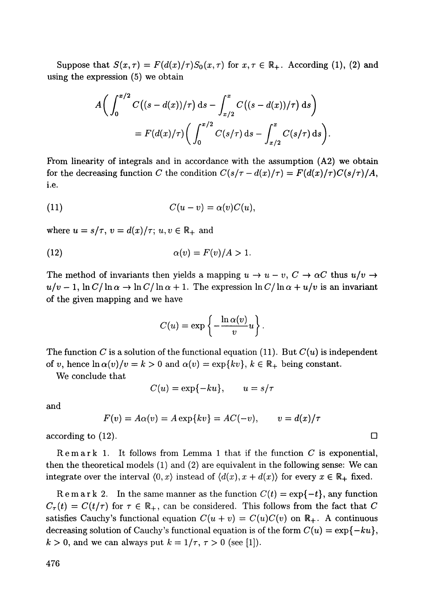Suppose that  $S(x, \tau) = F(d(x)/\tau)S_0(x, \tau)$  for  $x, \tau \in \mathbb{R}_+$ . According (1), (2) and using the expression (5) we obtain

$$
A\bigg(\int_0^{x/2} C\big((s-d(x))/\tau\big) \, \mathrm{d} s - \int_{x/2}^x C\big((s-d(x))/\tau\big) \, \mathrm{d} s\bigg) \\
= F(d(x)/\tau) \bigg(\int_0^{x/2} C(s/\tau) \, \mathrm{d} s - \int_{x/2}^x C(s/\tau) \, \mathrm{d} s\bigg).
$$

From linearity of integrals and in accordance with the assumption (A2) we obtain for the decreasing function C the condition  $C(s/\tau - d(x)/\tau) = F(d(x)/\tau)C(s/\tau)/A$ , i.e.

(11) 
$$
C(u - v) = \alpha(v)C(u),
$$

where  $u = s/\tau$ ,  $v = d(x)/\tau$ ;  $u, v \in \mathbb{R}_+$  and

(12) 
$$
\alpha(v) = F(v)/A > 1.
$$

The method of invariants then yields a mapping  $u \to u - v$ ,  $C \to \alpha C$  thus  $u/v \to$  $u/v - 1$ ,  $\ln C/\ln \alpha \rightarrow \ln C/\ln \alpha + 1$ . The expression  $\ln C/\ln \alpha + u/v$  is an invariant of the given mapping and we have

$$
C(u) = \exp \left\{-\frac{\ln \alpha(v)}{v}u\right\}.
$$

The function C is a solution of the functional equation (11). But  $C(u)$  is independent of v, hence  $\ln \alpha(v)/v = k > 0$  and  $\alpha(v) = \exp\{kv\}, k \in \mathbb{R}_+$  being constant.

We conclude that

 $C(u) = \exp\{-ku\}, \quad u = s/\tau$ 

and

$$
F(v) = A\alpha(v) = A \exp\{kv\} = AC(-v), \qquad v = d(x)/\tau
$$

according to (12).  $\Box$ 

Remar k 1. It follows from Lemma 1 that if the function *C* is exponential, then the theoretical models (1) and (2) are equivalent in the following sense: We can integrate over the interval  $(0, x)$  instead of  $(d(x), x + d(x))$  for every  $x \in \mathbb{R}_+$  fixed.

Remark 2. In the same manner as the function  $C(t) = \exp\{-t\}$ , any function  $C_{\tau}(t) = C(t/\tau)$  for  $\tau \in \mathbb{R}_{+}$ , can be considered. This follows from the fact that C satisfies Cauchy's functional equation  $C(u + v) = C(u)C(v)$  on  $\mathbb{R}_+$ . A continuous decreasing solution of Cauchy's functional equation is of the form  $C(u) = \exp\{-ku\}$ ,  $k > 0$ , and we can always put  $k = 1/\tau$ ,  $\tau > 0$  (see [1]).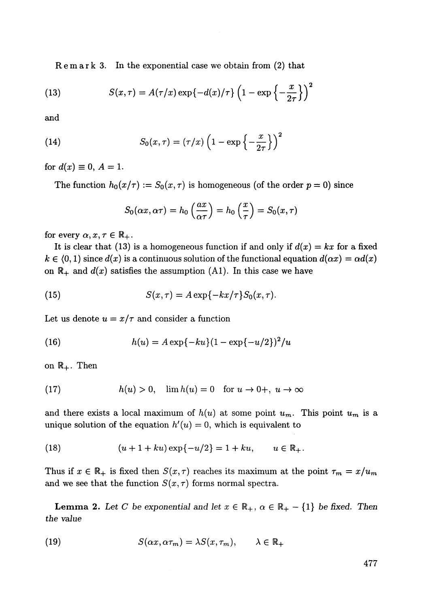Remar k 3. In the exponential case we obtain from (2) that

(13) 
$$
S(x,\tau) = A(\tau/x) \exp\{-d(x)/\tau\} \left(1 - \exp\left\{-\frac{x}{2\tau}\right\}\right)^2
$$

and

(14) 
$$
S_0(x,\tau)=(\tau/x)\left(1-\exp\left\{-\frac{x}{2\tau}\right\}\right)^2
$$

for  $d(x) \equiv 0, A = 1$ .

The function  $h_0(x/\tau) := S_0(x, \tau)$  is homogeneous (of the order  $p = 0$ ) since

$$
S_0(\alpha x, \alpha \tau) = h_0\left(\frac{ax}{\alpha \tau}\right) = h_0\left(\frac{x}{\tau}\right) = S_0(x, \tau)
$$

for every  $\alpha, x, \tau \in \mathbb{R}_+$ .

It is clear that (13) is a homogeneous function if and only if  $d(x) = kx$  for a fixed  $k \in (0,1)$  since  $d(x)$  is a continuous solution of the functional equation  $d(\alpha x) = \alpha d(x)$ on  $\mathbb{R}_+$  and  $d(x)$  satisfies the assumption (A1). In this case we have

(15) 
$$
S(x,\tau) = A \exp\{-kx/\tau\} S_0(x,\tau).
$$

Let us denote  $u = x/\tau$  and consider a function

(16) 
$$
h(u) = A \exp\{-ku\} (1 - \exp\{-u/2\})^2/u
$$

on  $\mathbb{R}_+$ . Then

(17) 
$$
h(u) > 0, \quad \lim h(u) = 0 \quad \text{for } u \to 0+, \ u \to \infty
$$

and there exists a local maximum of  $h(u)$  at some point  $u_m$ . This point  $u_m$  is a unique solution of the equation  $h'(u) = 0$ , which is equivalent to

(18) 
$$
(u+1+ku)\exp\{-u/2\} = 1+ku, \qquad u \in \mathbb{R}_+.
$$

Thus if  $x \in \mathbb{R}_+$  is fixed then  $S(x, \tau)$  reaches its maximum at the point  $\tau_m = x/u_m$ and we see that the function  $S(x, \tau)$  forms normal spectra.

**Lemma 2.** Let C be exponential and let  $x \in \mathbb{R}_+$ ,  $\alpha \in \mathbb{R}_+$  – {1} be fixed. Then *the value* 

(19) 
$$
S(\alpha x, \alpha \tau_m) = \lambda S(x, \tau_m), \qquad \lambda \in \mathbb{R}_+
$$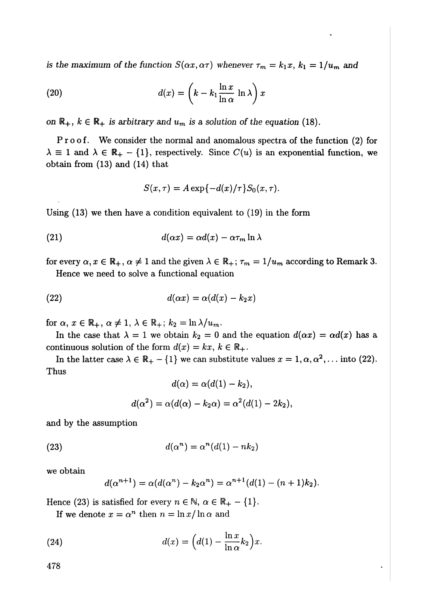*is the maximum of the function*  $S(\alpha x, \alpha \tau)$  *whenever*  $\tau_m = k_1 x, k_1 = 1/u_m$  and

(20) 
$$
d(x) = \left(k - k_1 \frac{\ln x}{\ln \alpha} \ln \lambda\right) x
$$

*on*  $\mathbb{R}_+$ ,  $k \in \mathbb{R}_+$  *is arbitrary and*  $u_m$  *is a solution of the equation* (18).

Proof. We consider the normal and anomalous spectra of the function (2) for  $\lambda \equiv 1$  and  $\lambda \in \mathbb{R}_+ - \{1\}$ , respectively. Since  $C(u)$  is an exponential function, we obtain from (13) and (14) that

$$
S(x,\tau) = A \exp\{-d(x)/\tau\} S_0(x,\tau).
$$

Using (13) we then have a condition equivalent to (19) in the form

(21) 
$$
d(\alpha x) = \alpha d(x) - \alpha \tau_m \ln \lambda
$$

for every  $\alpha, x \in \mathbb{R}_+$ ,  $\alpha \neq 1$  and the given  $\lambda \in \mathbb{R}_+$ ;  $\tau_m = 1/u_m$  according to Remark 3.

Hence we need to solve a functional equation

(22) 
$$
d(\alpha x) = \alpha(d(x) - k_2 x)
$$

for  $\alpha, x \in \mathbb{R}_+$ ,  $\alpha \neq 1$ ,  $\lambda \in \mathbb{R}_+$ ;  $k_2 = \ln \lambda / u_m$ .

In the case that  $\lambda = 1$  we obtain  $k_2 = 0$  and the equation  $d(\alpha x) = \alpha d(x)$  has a continuous solution of the form  $d(x) = kx, k \in \mathbb{R}_+$ .

In the latter case  $\lambda \in \mathbb{R}_+ - \{1\}$  we can substitute values  $x = 1, \alpha, \alpha^2, \dots$  into (22). Thus

$$
d(\alpha) = \alpha(d(1) - k_2),
$$
  

$$
d(\alpha^2) = \alpha(d(\alpha) - k_2\alpha) = \alpha^2(d(1) - 2k_2),
$$

and by the assumption

(23) 
$$
d(\alpha^n) = \alpha^n(d(1) - nk_2)
$$

we obtain

$$
d(\alpha^{n+1}) = \alpha(d(\alpha^{n}) - k_2 \alpha^{n}) = \alpha^{n+1}(d(1) - (n+1)k_2).
$$

Hence (23) is satisfied for every  $n \in \mathbb{N}$ ,  $\alpha \in \mathbb{R}_+ - \{1\}$ .

If we denote  $x = \alpha^n$  then  $n = \ln x / \ln \alpha$  and

(24) 
$$
d(x) = \left(d(1) - \frac{\ln x}{\ln \alpha} k_2\right) x.
$$

478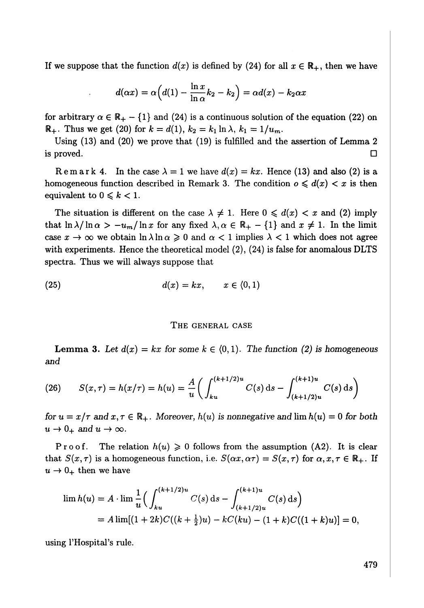If we suppose that the function  $d(x)$  is defined by (24) for all  $x \in \mathbb{R}_+$ , then we have

$$
d(\alpha x) = \alpha \Big( d(1) - \frac{\ln x}{\ln \alpha} k_2 - k_2 \Big) = \alpha d(x) - k_2 \alpha x
$$

*in a* / for arbitrary  $\alpha \in \mathbb{R}_+ - \{1\}$  and  $(24)$  is a continuous solution of the equation  $(22)$  on  $\mathbb{R}_+$ . Thus we get (20) for  $k = d(1)$ ,  $k_2 = k_1 \ln \lambda$ ,  $k_1 = 1/u_m$ .

Using (13) and (20) we prove that (19) is fulfilled and the assertion of Lemma 2  $\Box$  is proved.

Remark 4. In the case  $\lambda = 1$  we have  $d(x) = kx$ . Hence (13) and also (2) is a homogeneous function described in Remark 3. The condition  $o \leq d(x) < x$  is then equivalent to  $0 \leqslant k < 1$ .

The situation is different on the case  $\lambda \neq 1$ . Here  $0 \leq d(x) < x$  and (2) imply that  $\ln \lambda / \ln \alpha > -u_m / \ln x$  for any fixed  $\lambda, \alpha \in \mathbb{R}_+ - \{1\}$  and  $x \neq 1$ . In the limit case  $x \to \infty$  we obtain  $\ln \lambda \ln \alpha \geq 0$  and  $\alpha < 1$  implies  $\lambda < 1$  which does not agree with experiments. Hence the theoretical model (2), (24) is false for anomalous DLTS spectra. Thus we will always suppose that

$$
d(x) = kx, \qquad x \in (0,1)
$$

#### T**HE GE**N**E**R**AL CASE**

**Lemma 3.** Let  $d(x) = kx$  for some  $k \in \{0, 1\}$ . The function (2) is homogeneous *and* 

(26) 
$$
S(x,\tau) = h(x/\tau) = h(u) = \frac{A}{u} \left( \int_{ku}^{(k+1/2)u} C(s) \, ds - \int_{(k+1/2)u}^{(k+1)u} C(s) \, ds \right)
$$

*for*  $u = x/\tau$  and  $x, \tau \in \mathbb{R}_+$ . Moreover,  $h(u)$  is nonnegative and  $\lim h(u) = 0$  for both  $u \to 0_+$  and  $u \to \infty$ .

Proof. The relation  $h(u) \geq 0$  follows from the assumption (A2). It is clear that  $S(x, \tau)$  is a homogeneous function, i.e.  $S(\alpha x, \alpha \tau) = S(x, \tau)$  for  $\alpha, x, \tau \in \mathbb{R}_+$ . If  $u \rightarrow 0_+$  then we have

$$
\lim h(u) = A \cdot \lim \frac{1}{u} \Big( \int_{ku}^{(k+1/2)u} C(s) \, ds - \int_{(k+1/2)u}^{(k+1)u} C(s) \, ds \Big)
$$
  
=  $A \lim[(1+2k)C((k+\frac{1}{2})u) - kC(ku) - (1+k)C((1+k)u)] = 0,$ 

 $\mathcal{L}$  rule.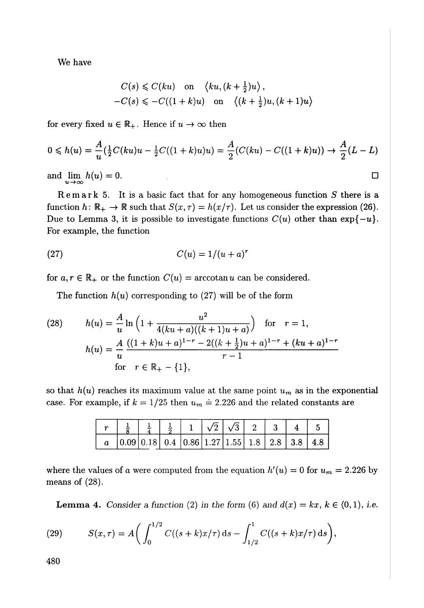We have

$$
C(s) \leq C(ku) \quad \text{on} \quad \langle ku, (k + \frac{1}{2})u \rangle,
$$
  
-C(s) \leq -C((1 + k)u) \quad \text{on} \quad \langle (k + \frac{1}{2})u, (k + 1)u \rangle

for every fixed  $u \in \mathbb{R}_+$ . Hence if  $u \to \infty$  then

$$
0 \leq h(u) = \frac{A}{u} \left( \frac{1}{2} C(ku)u - \frac{1}{2} C((1+k)u)u \right) = \frac{A}{2} (C(ku) - C((1+k)u)) \to \frac{A}{2}(L-L)
$$

and  $\lim_{u \to \infty} h(u) = 0.$ 

Remar k 5. It is a basic fact that for any homogeneous function *S* there is a function  $h: \mathbb{R}_+ \to \mathbb{R}$  such that  $S(x, \tau) = h(x/\tau)$ . Let us consider the expression (26). Due to Lemma 3, it is possible to investigate functions  $C(u)$  other than  $\exp\{-u\}$ . For example, the function

$$
(27) \tC(u) = 1/(u+a)^r
$$

for  $a, r \in \mathbb{R}_+$  or the function  $C(u) = \arccotan u$  can be considered.

The function  $h(u)$  corresponding to  $(27)$  will be of the form

(28) 
$$
h(u) = \frac{A}{u} \ln \left( 1 + \frac{u^2}{4(ku + a)((k+1)u + a)} \right) \text{ for } r = 1,
$$

$$
h(u) = \frac{A}{u} \frac{((1+k)u + a)^{1-r} - 2((k+\frac{1}{2})u + a)^{1-r} + (ku+a)^{1-r}}{r-1}
$$
for  $r \in \mathbb{R}_+ - \{1\},$ 

so that  $h(u)$  reaches its maximum value at the same point  $u_m$  as in the exponential case. For example, if  $k = 1/25$  then  $u_m = 2.226$  and the related constants are

|  | $a$   0.09   0.18   0.4   0.86   1.27   1.55   1.8   2.8   3.8   4.8 |  |  |  |  |
|--|----------------------------------------------------------------------|--|--|--|--|

where the values of a were computed from the equation  $h'(u) = 0$  for  $u_m = 2.226$  by means of (28).

**Lemma 4.** Consider a function (2) in the form (6) and  $d(x) = kx$ ,  $k \in \{0, 1\}$ , i.e.

(29) 
$$
S(x,\tau) = A\bigg(\int_0^{1/2} C((s+k)x/\tau) \,ds - \int_{1/2}^1 C((s+k)x/\tau) \,ds\bigg),
$$

480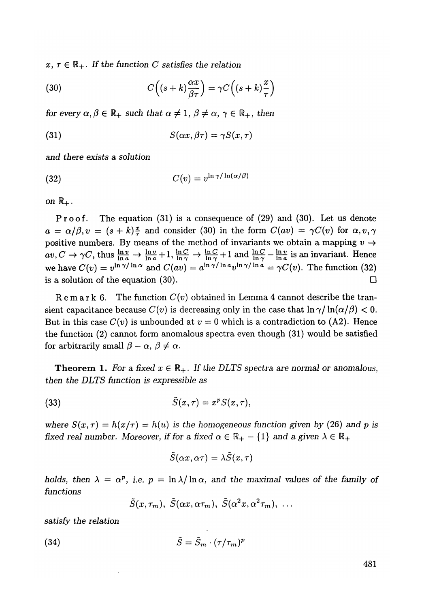$x, \tau \in \mathbb{R}_+$ *. If the function C satisfies the relation* 

(30) 
$$
C\left((s+k)\frac{\alpha x}{\beta \tau}\right) = \gamma C\left((s+k)\frac{x}{\tau}\right)
$$

*for every*  $\alpha, \beta \in \mathbb{R}_+$  *such that*  $\alpha \neq 1, \beta \neq \alpha, \gamma \in \mathbb{R}_+$ , then

(31) 
$$
S(\alpha x, \beta \tau) = \gamma S(x, \tau)
$$

and there *exists a solution* 

$$
C(v) = v^{\ln \gamma / \ln(\alpha/\beta)}
$$

on R+*.* 

Proof. The equation (31) is a consequence of (29) and (30). Let us denote  $a = \alpha/\beta, v = (s + k)\frac{x}{\tau}$  and consider (30) in the form  $C(av) = \gamma C(v)$  for  $\alpha, v, \gamma$ positive numbers. By means of the method of invariants we obtain a mapping  $v \rightarrow$  $av, C \rightarrow \gamma C$ , thus  $\frac{\ln v}{\ln a} \rightarrow \frac{\ln v}{\ln a} + 1$ ,  $\frac{\ln C}{\ln \gamma} \rightarrow \frac{\ln C}{\ln \gamma} + 1$  and  $\frac{\ln C}{\ln \gamma} - \frac{\ln v}{\ln a}$  is an invariant. Hence we have  $C(v) = v^{\ln \gamma / \ln \alpha}$  and  $C(av) = a^{\ln \gamma / \ln a}v^{\ln \gamma / \ln a} = \gamma C(v)$ . The function (32) is a solution of the equation (30).  $\square$ 

 $Rem a r k 6.$  The function  $C(v)$  obtained in Lemma 4 cannot describe the transient capacitance because  $C(v)$  is decreasing only in the case that  $\ln \gamma / \ln(\alpha/\beta) < 0$ . But in this case  $C(v)$  is unbounded at  $v = 0$  which is a contradiction to (A2). Hence the function (2) cannot form anomalous spectra even though (31) would be satisfied for arbitrarily small  $\beta - \alpha$ ,  $\beta \neq \alpha$ .

**Theorem 1.** For a fixed  $x \in \mathbb{R}_+$ . If the DLTS spectra are normal or anomalous, *then the DLTS function is expressible as* 

(33) 
$$
\tilde{S}(x,\tau) = x^p S(x,\tau),
$$

*where*  $S(x, \tau) = h(x/\tau) = h(u)$  is the homogeneous function given by (26) and p is *fixed real number. Moreover, if for a fixed*  $\alpha \in \mathbb{R}_+ - \{1\}$  and a given  $\lambda \in \mathbb{R}_+$ 

$$
\tilde{S}(\alpha x, \alpha \tau) = \lambda \tilde{S}(x, \tau)
$$

*holds, then*  $\lambda = \alpha^p$ , *i.e.*  $p = \ln \lambda / \ln \alpha$ , and the maximal values of the family of *functions* 

$$
\tilde{S}(x,\tau_m), \ \tilde{S}(\alpha x, \alpha \tau_m), \ \tilde{S}(\alpha^2 x, \alpha^2 \tau_m), \ \ldots
$$

*satisfy the relation* 

$$
\tilde{S} = \tilde{S}_m \cdot (\tau/\tau_m)^p
$$

481